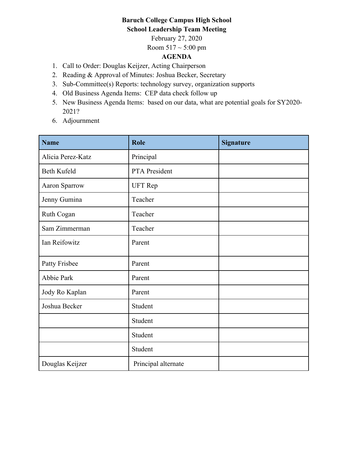## **Baruch College Campus High School School Leadership Team Meeting**

February 27, 2020

Room  $517 \sim 5:00 \text{ pm}$ 

# **AGENDA**

- 1. Call to Order: Douglas Keijzer, Acting Chairperson
- 2. Reading & Approval of Minutes: Joshua Becker, Secretary
- 3. Sub-Committee(s) Reports: technology survey, organization supports
- 4. Old Business Agenda Items: CEP data check follow up
- 5. New Business Agenda Items: based on our data, what are potential goals for SY2020- 2021?
- 6. Adjournment

| <b>Name</b>       | <b>Role</b>         | <b>Signature</b> |
|-------------------|---------------------|------------------|
| Alicia Perez-Katz | Principal           |                  |
| Beth Kufeld       | PTA President       |                  |
| Aaron Sparrow     | <b>UFT</b> Rep      |                  |
| Jenny Gumina      | Teacher             |                  |
| Ruth Cogan        | Teacher             |                  |
| Sam Zimmerman     | Teacher             |                  |
| Ian Reifowitz     | Parent              |                  |
| Patty Frisbee     | Parent              |                  |
| Abbie Park        | Parent              |                  |
| Jody Ro Kaplan    | Parent              |                  |
| Joshua Becker     | Student             |                  |
|                   | Student             |                  |
|                   | Student             |                  |
|                   | Student             |                  |
| Douglas Keijzer   | Principal alternate |                  |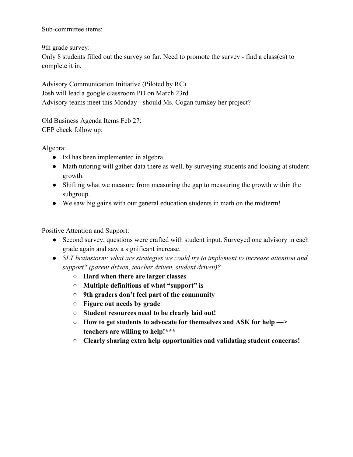Sub-committee items:

9th grade survey: Only 8 students filled out the survey so far. Need to promote the survey - find a class(es) to complete it in.

Advisory Communication Initiative (Piloted by RC) Josh will lead a google classroom PD on March 23rd Advisory teams meet this Monday - should Ms. Cogan turnkey her project?

Old Business Agenda Items Feb 27: CEP check follow up:

Algebra:

- Ixl has been implemented in algebra.
- Math tutoring will gather data there as well, by surveying students and looking at student growth.
- Shifting what we measure from measuring the gap to measuring the growth within the subgroup.
- We saw big gains with our general education students in math on the midterm!

Positive Attention and Support:

- Second survey, questions were crafted with student input. Surveyed one advisory in each grade again and saw a significant increase.
- *SLT brainstorm: what are strategies we could try to implement to increase attention and support? (parent driven, teacher driven, student driven)?*
	- **Hard when there are larger classes**
	- **Multiple definitions of what "support" is**
	- **9th graders don't feel part of the community**
	- **Figure out needs by grade**
	- **Student resources need to be clearly laid out!**
	- **How to get students to advocate for themselves and ASK for help —> teachers are willing to help!\*\*\***
	- **Clearly sharing extra help opportunities and validating student concerns!**